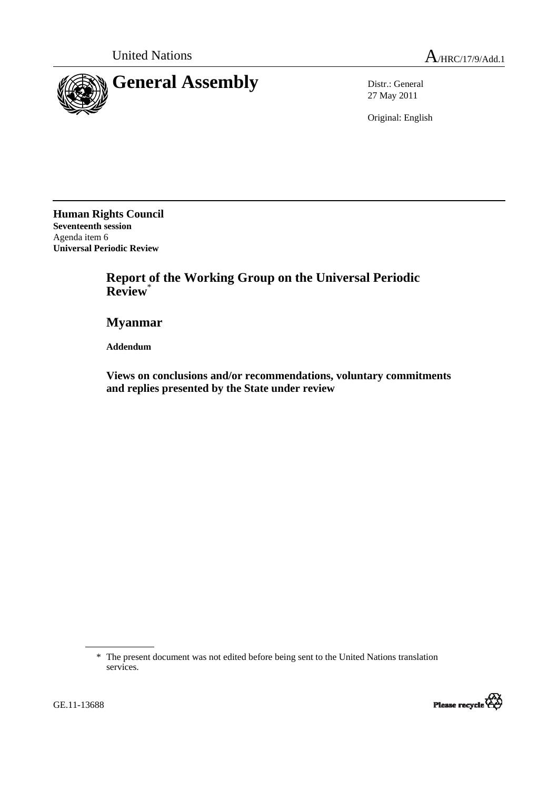

27 May 2011

Original: English

**Human Rights Council Seventeenth session**  Agenda item 6 **Universal Periodic Review** 

> **Report of the Working Group on the Universal Periodic Review**\*

 **Myanmar** 

 **Addendum** 

 **Views on conclusions and/or recommendations, voluntary commitments and replies presented by the State under review** 

<sup>\*</sup> The present document was not edited before being sent to the United Nations translation services.



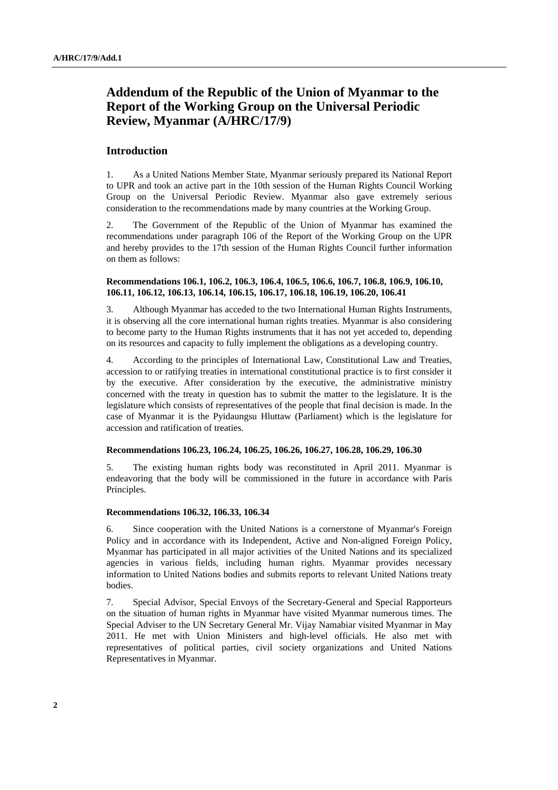# **Addendum of the Republic of the Union of Myanmar to the Report of the Working Group on the Universal Periodic Review, Myanmar (A/HRC/17/9)**

# **Introduction**

1. As a United Nations Member State, Myanmar seriously prepared its National Report to UPR and took an active part in the 10th session of the Human Rights Council Working Group on the Universal Periodic Review. Myanmar also gave extremely serious consideration to the recommendations made by many countries at the Working Group.

2. The Government of the Republic of the Union of Myanmar has examined the recommendations under paragraph 106 of the Report of the Working Group on the UPR and hereby provides to the 17th session of the Human Rights Council further information on them as follows:

## **Recommendations 106.1, 106.2, 106.3, 106.4, 106.5, 106.6, 106.7, 106.8, 106.9, 106.10, 106.11, 106.12, 106.13, 106.14, 106.15, 106.17, 106.18, 106.19, 106.20, 106.41**

3. Although Myanmar has acceded to the two International Human Rights Instruments, it is observing all the core international human rights treaties. Myanmar is also considering to become party to the Human Rights instruments that it has not yet acceded to, depending on its resources and capacity to fully implement the obligations as a developing country.

4. According to the principles of International Law, Constitutional Law and Treaties, accession to or ratifying treaties in international constitutional practice is to first consider it by the executive. After consideration by the executive, the administrative ministry concerned with the treaty in question has to submit the matter to the legislature. It is the legislature which consists of representatives of the people that final decision is made. In the case of Myanmar it is the Pyidaungsu Hluttaw (Parliament) which is the legislature for accession and ratification of treaties.

#### **Recommendations 106.23, 106.24, 106.25, 106.26, 106.27, 106.28, 106.29, 106.30**

5. The existing human rights body was reconstituted in April 2011. Myanmar is endeavoring that the body will be commissioned in the future in accordance with Paris Principles.

### **Recommendations 106.32, 106.33, 106.34**

6. Since cooperation with the United Nations is a cornerstone of Myanmar's Foreign Policy and in accordance with its Independent, Active and Non-aligned Foreign Policy, Myanmar has participated in all major activities of the United Nations and its specialized agencies in various fields, including human rights. Myanmar provides necessary information to United Nations bodies and submits reports to relevant United Nations treaty bodies.

7. Special Advisor, Special Envoys of the Secretary-General and Special Rapporteurs on the situation of human rights in Myanmar have visited Myanmar numerous times. The Special Adviser to the UN Secretary General Mr. Vijay Namabiar visited Myanmar in May 2011. He met with Union Ministers and high-level officials. He also met with representatives of political parties, civil society organizations and United Nations Representatives in Myanmar.